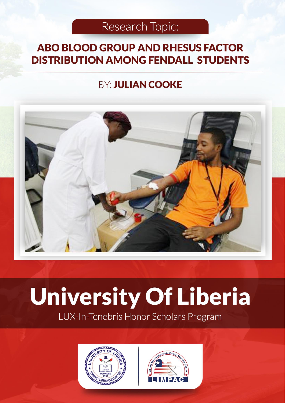# Research Topic:

# **ABO BLOOD GROUP AND RHESUS FACTOR DISTRIBUTION AMONG FENDALL STUDENTS**

# **BY: JULIAN COOKE**



# **University Of Liberia**

LUX-In-Tenebris Honor Scholars Program



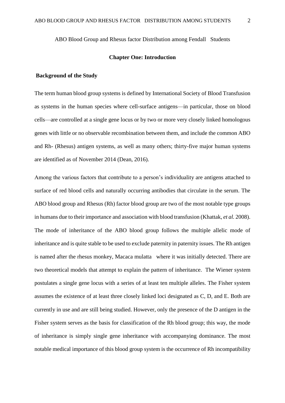ABO Blood Group and Rhesus factor Distribution among Fendall Students

#### **Chapter One: Introduction**

#### **Background of the Study**

The term human blood group systems is defined by International Society of Blood Transfusion as systems in the human species where cell-surface antigens—in particular, those on blood cells—are controlled at a single gene locus or by two or more very closely linked homologous genes with little or no observable recombination between them, and include the common ABO and Rh- (Rhesus) antigen systems, as well as many others; thirty-five major human systems are identified as of November 2014 (Dean, 2016).

Among the various factors that contribute to a person's individuality are antigens attached to surface of red blood cells and naturally occurring antibodies that circulate in the serum. The ABO blood group and Rhesus (Rh) factor blood group are two of the most notable type groups in humans due to their importance and association with blood transfusion (Khattak, *et al.* 2008). The mode of inheritance of the ABO blood group follows the multiple allelic mode of inheritance and is quite stable to be used to exclude paternity in paternity issues. The Rh antigen is named after the rhesus monkey, Macaca mulatta where it was initially detected. There are two theoretical models that attempt to explain the pattern of inheritance. The Wiener system postulates a single gene locus with a series of at least ten multiple alleles. The Fisher system assumes the existence of at least three closely linked loci designated as C, D, and E. Both are currently in use and are still being studied. However, only the presence of the D antigen in the Fisher system serves as the basis for classification of the Rh blood group; this way, the mode of inheritance is simply single gene inheritance with accompanying dominance. The most notable medical importance of this blood group system is the occurrence of Rh incompatibility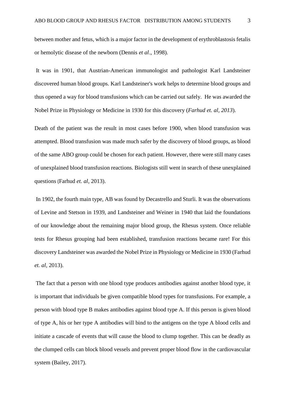between mother and fetus, which is a major factor in the development of erythroblastosis fetalis or hemolytic disease of the newborn (Dennis *et al*., 1998).

It was in 1901, that Austrian-American immunologist and pathologist Karl Landsteiner discovered human blood groups. Karl Landsteiner's work helps to determine blood groups and thus opened a way for blood transfusions which can be carried out safely. He was awarded the Nobel Prize in Physiology or Medicine in 1930 for this discovery (*Farhud et. al, 2013*).

Death of the patient was the result in most cases before 1900, when blood transfusion was attempted. Blood transfusion was made much safer by the discovery of blood groups, as blood of the same ABO group could be chosen for each patient. However, there were still many cases of unexplained blood transfusion reactions. Biologists still went in search of these unexplained questions (Farhud *et. al*, 2013).

In 1902, the fourth main type, AB was found by Decastrello and Sturli. It was the observations of Levine and Stetson in 1939, and Landsteiner and Weiner in 1940 that laid the foundations of our knowledge about the remaining major blood group, the Rhesus system. Once reliable tests for Rhesus grouping had been established, transfusion reactions became rare! For this discovery Landsteiner was awarded the Nobel Prize in Physiology or Medicine in 1930 (Farhud *et. al,* 2013).

The fact that a person with one blood type produces antibodies against another blood type, it is important that individuals be given compatible blood types for transfusions. For example, a person with blood type B makes antibodies against blood type A. If this person is given blood of type A, his or her type A antibodies will bind to the antigens on the type A blood cells and initiate a cascade of events that will cause the blood to clump together. This can be deadly as the clumped cells can block blood vessels and prevent proper blood flow in the cardiovascular system (Bailey, 2017).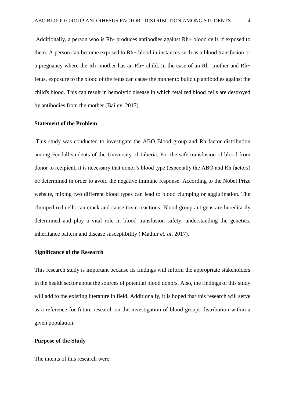Additionally, a person who is Rh- produces antibodies against Rh+ blood cells if exposed to them. A person can become exposed to Rh+ blood in instances such as a blood transfusion or a pregnancy where the Rh- mother has an Rh+ child. In the case of an Rh- mother and Rh+ fetus, exposure to the blood of the fetus can cause the mother to build up antibodies against the child's blood. This can result in hemolytic disease in which fetal red blood cells are destroyed by antibodies from the mother (Bailey, 2017).

#### **Statement of the Problem**

This study was conducted to investigate the ABO Blood group and Rh factor distribution among Fendall students of the University of Liberia. For the safe transfusion of blood from donor to recipient, it is necessary that donor's blood type (especially the ABO and Rh factors) be determined in order to avoid the negative immune response. According to the Nobel Prize website, mixing two different blood types can lead to blood clumping or agglutination. The clumped red cells can crack and cause toxic reactions. Blood group antigens are hereditarily determined and play a vital role in blood transfusion safety, understanding the genetics, inheritance pattern and disease susceptibility ( Mathur *et. al*, 2017).

#### **Significance of the Research**

This research study is important because its findings will inform the appropriate stakeholders in the health sector about the sources of potential blood donors. Also, the findings of this study will add to the existing literature in field. Additionally, it is hoped that this research will serve as a reference for future research on the investigation of blood groups distribution within a given population.

#### **Purpose of the Study**

The intents of this research were: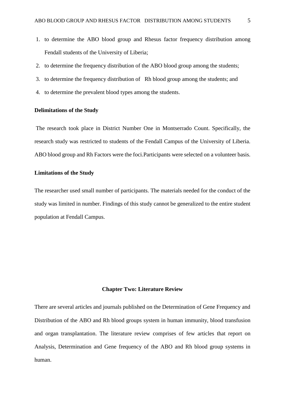- 1. to determine the ABO blood group and Rhesus factor frequency distribution among Fendall students of the University of Liberia;
- 2. to determine the frequency distribution of the ABO blood group among the students;
- 3. to determine the frequency distribution of Rh blood group among the students; and
- 4. to determine the prevalent blood types among the students.

#### **Delimitations of the Study**

The research took place in District Number One in Montserrado Count. Specifically, the research study was restricted to students of the Fendall Campus of the University of Liberia. ABO blood group and Rh Factors were the foci.Participants were selected on a volunteer basis.

#### **Limitations of the Study**

The researcher used small number of participants. The materials needed for the conduct of the study was limited in number. Findings of this study cannot be generalized to the entire student population at Fendall Campus.

#### **Chapter Two: Literature Review**

There are several articles and journals published on the Determination of Gene Frequency and Distribution of the ABO and Rh blood groups system in human immunity, blood transfusion and organ transplantation. The literature review comprises of few articles that report on Analysis, Determination and Gene frequency of the ABO and Rh blood group systems in human.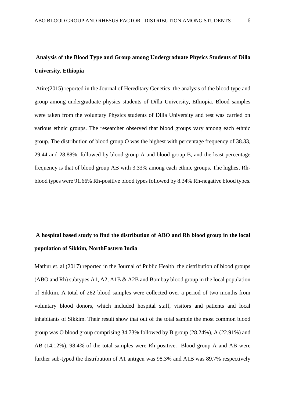## **Analysis of the Blood Type and Group among Undergraduate Physics Students of Dilla University, Ethiopia**

Atire(2015) reported in the Journal of Hereditary Genetics the analysis of the blood type and group among undergraduate physics students of Dilla University, Ethiopia. Blood samples were taken from the voluntary Physics students of Dilla University and test was carried on various ethnic groups. The researcher observed that blood groups vary among each ethnic group. The distribution of blood group O was the highest with percentage frequency of 38.33, 29.44 and 28.88%, followed by blood group A and blood group B, and the least percentage frequency is that of blood group AB with 3.33% among each ethnic groups. The highest Rhblood types were 91.66% Rh-positive blood types followed by 8.34% Rh-negative blood types.

# **A hospital based study to find the distribution of ABO and Rh blood group in the local population of Sikkim, NorthEastern India**

Mathur et. al (2017) reported in the Journal of Public Health the distribution of blood groups (ABO and Rh) subtypes A1, A2, A1B & A2B and Bombay blood group in the local population of Sikkim. A total of 262 blood samples were collected over a period of two months from voluntary blood donors, which included hospital staff, visitors and patients and local inhabitants of Sikkim. Their result show that out of the total sample the most common blood group was O blood group comprising 34.73% followed by B group (28.24%), A (22.91%) and AB (14.12%). 98.4% of the total samples were Rh positive. Blood group A and AB were further sub-typed the distribution of A1 antigen was 98.3% and A1B was 89.7% respectively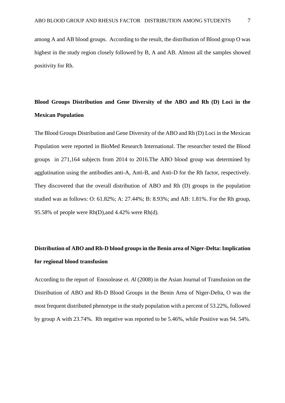among A and AB blood groups. According to the result, the distribution of Blood group O was highest in the study region closely followed by B, A and AB. Almost all the samples showed positivity for Rh.

# **Blood Groups Distribution and Gene Diversity of the ABO and Rh (D) Loci in the Mexican Population**

The Blood Groups Distribution and Gene Diversity of the ABO and Rh (D) Loci in the Mexican Population were reported in BioMed Research International. The researcher tested the Blood groups in 271,164 subjects from 2014 to 2016.The ABO blood group was determined by agglutination using the antibodies anti-A, Anti-B, and Anti-D for the Rh factor, respectively. They discovered that the overall distribution of ABO and Rh (D) groups in the population studied was as follows: O: 61.82%; A: 27.44%; B: 8.93%; and AB: 1.81%. For the Rh group, 95.58% of people were Rh(D),and 4.42% were Rh(d).

## **Distribution of ABO and Rh-D blood groups in the Benin area of Niger-Delta: Implication for regional blood transfusion**

According to the report of Enosolease *et. Al* (2008) in the Asian Journal of Transfusion on the Distribution of ABO and Rh-D Blood Groups in the Benin Area of Niger-Delta, O was the most frequent distributed phenotype in the study population with a percent of 53.22%, followed by group A with 23.74%. Rh negative was reported to be 5.46%, while Positive was 94. 54%.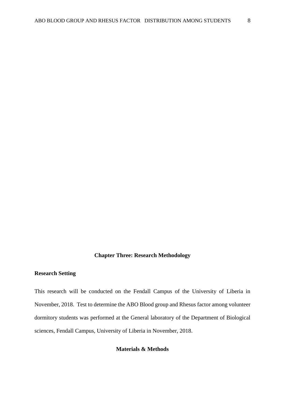#### **Chapter Three: Research Methodology**

#### **Research Setting**

This research will be conducted on the Fendall Campus of the University of Liberia in November, 2018. Test to determine the ABO Blood group and Rhesus factor among volunteer dormitory students was performed at the General laboratory of the Department of Biological sciences, Fendall Campus, University of Liberia in November, 2018.

#### **Materials & Methods**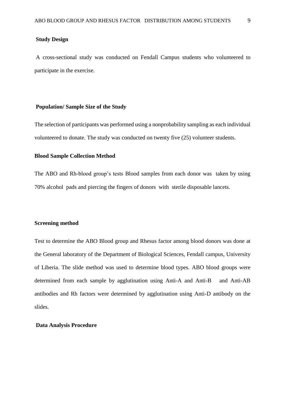#### **Study Design**

A cross-sectional study was conducted on Fendall Campus students who volunteered to participate in the exercise.

#### **Population/ Sample Size of the Study**

The selection of participants was performed using a nonprobability sampling as each individual volunteered to donate. The study was conducted on twenty five (25) volunteer students.

#### **Blood Sample Collection Method**

The ABO and Rh-blood group's tests Blood samples from each donor was taken by using 70% alcohol pads and piercing the fingers of donors with sterile disposable lancets.

#### **Screening method**

Test to determine the ABO Blood group and Rhesus factor among blood donors was done at the General laboratory of the Department of Biological Sciences, Fendall campus, University of Liberia. The slide method was used to determine blood types. ABO blood groups were determined from each sample by agglutination using Anti-A and Anti-B and Anti-AB antibodies and Rh factors were determined by agglutination using Anti-D antibody on the slides.

#### **Data Analysis Procedure**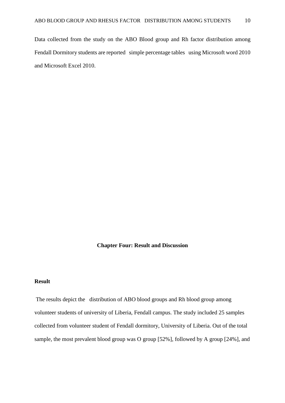Data collected from the study on the ABO Blood group and Rh factor distribution among Fendall Dormitory students are reported simple percentage tables using Microsoft word 2010 and Microsoft Excel 2010.

#### **Chapter Four: Result and Discussion**

#### **Result**

The results depict the distribution of ABO blood groups and Rh blood group among volunteer students of university of Liberia, Fendall campus. The study included 25 samples collected from volunteer student of Fendall dormitory, University of Liberia. Out of the total sample, the most prevalent blood group was O group [52%], followed by A group [24%], and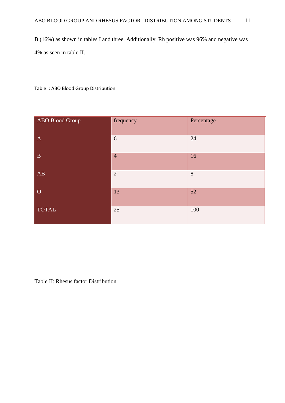B (16%) as shown in tables I and three. Additionally, Rh positive was 96% and negative was 4% as seen in table II.

Table I: ABO Blood Group Distribution

| <b>ABO Blood Group</b> | frequency      | Percentage |
|------------------------|----------------|------------|
| $\mathbf{A}$           | 6              | 24         |
| $\, {\bf B}$           | $\overline{4}$ | 16         |
| AB                     | $\overline{2}$ | 8          |
| $\overline{O}$         | 13             | 52         |
| <b>TOTAL</b>           | 25             | 100        |

Table II: Rhesus factor Distribution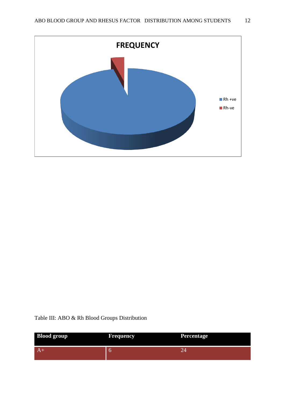

### Table III: ABO & Rh Blood Groups Distribution

| <b>Blood group</b> | <b>Frequency</b> | <b>Percentage</b> |
|--------------------|------------------|-------------------|
|                    |                  |                   |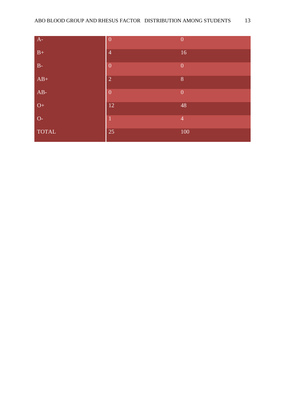| $A-$            | $\overline{0}$  | $\overline{0}$ |
|-----------------|-----------------|----------------|
| $B+$            | $\overline{4}$  | 16             |
| $B-$            | $\overline{0}$  | $\overline{0}$ |
| $AB+$           | $\overline{2}$  | $8\phantom{1}$ |
| $AB-$           | $\overline{0}$  | $\overline{0}$ |
| $\overline{O+}$ | 12              | 48             |
| $O-$            | $\mathbf{1}$    | $\overline{4}$ |
| <b>TOTAL</b>    | $\overline{25}$ | $100\,$        |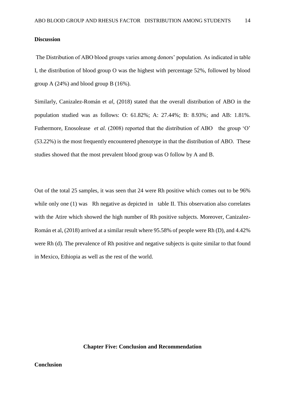#### **Discussion**

The Distribution of ABO blood groups varies among donors' population. As indicated in table I, the distribution of blood group O was the highest with percentage 52%, followed by blood group A (24%) and blood group B (16%).

Similarly, Canizalez-Román et *al*, (2018) stated that the overall distribution of ABO in the population studied was as follows: O: 61.82%; A: 27.44%; B: 8.93%; and AB: 1.81%. Futhermore, Enosolease *et al.* (2008) reported that the distribution of ABO the group 'O' (53.22%) is the most frequently encountered phenotype in that the distribution of ABO. These studies showed that the most prevalent blood group was O follow by A and B.

Out of the total 25 samples, it was seen that 24 were Rh positive which comes out to be 96% while only one (1) was Rh negative as depicted in table II. This observation also correlates with the Atire which showed the high number of Rh positive subjects. Moreover, Canizalez-Román et al, (2018) arrived at a similar result where 95.58% of people were Rh (D), and 4.42% were Rh (d)*.* The prevalence of Rh positive and negative subjects is quite similar to that found in Mexico, Ethiopia as well as the rest of the world.

#### **Chapter Five: Conclusion and Recommendation**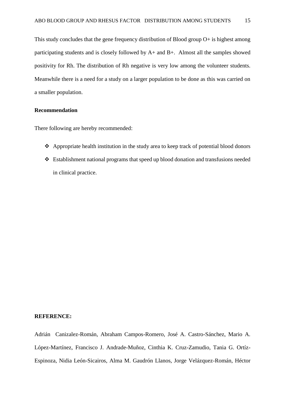This study concludes that the gene frequency distribution of Blood group  $O+$  is highest among participating students and is closely followed by A+ and B+. Almost all the samples showed positivity for Rh. The distribution of Rh negative is very low among the volunteer students. Meanwhile there is a need for a study on a larger population to be done as this was carried on a smaller population.

#### **Recommendation**

There following are hereby recommended:

- Appropriate health institution in the study area to keep track of potential blood donors
- Establishment national programs that speed up blood donation and transfusions needed in clinical practice.

#### **REFERENCE:**

Adrián Canizalez-Román, Abraham Campos-Romero, José A. Castro-Sánchez, Mario A. López-Martínez, Francisco J. Andrade-Muñoz, Cinthia K. Cruz-Zamudio, Tania G. Ortíz-Espinoza, Nidia León-Sicairos, Alma M. Gaudrón Llanos, Jorge Velázquez-Román, Héctor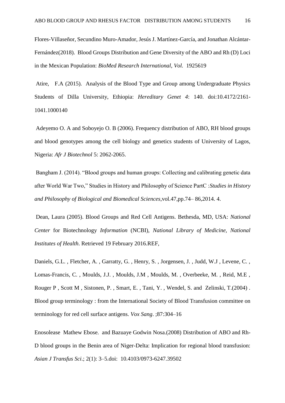Flores-Villaseñor, Secundino Muro-Amador, Jesús J. Martínez-García, and Jonathan Alcántar-Fernández(2018). Blood Groups Distribution and Gene Diversity of the ABO and Rh (D) Loci in the Mexican Population: *BioMed Research International, Vol.* 1925619

Atire, F.A (2015). Analysis of the Blood Type and Group among Undergraduate Physics Students of Dilla University, Ethiopia: *Hereditary Genet 4*: 140. doi:10.4172/2161- 1041.1000140

Adeyemo O. A and Soboyejo O. B (2006). Frequency distribution of ABO, RH blood groups and blood genotypes among the cell biology and genetics students of University of Lagos, Nigeria: *Afr J Biotechnol* 5: 2062-2065.

Bangham J. (2014). "Blood groups and human groups: Collecting and calibrating genetic data after World War Two," Studies in History and Philosophy of Science PartC :*Studies in History and Philosophy of Biological and Biomedical Sciences*,vol.47,pp.74– 86,2014. 4.

Dean, Laura (2005). Blood Groups and Red Cell Antigens. Bethesda, MD, USA: *National Center* for Biotechnology *Information* (NCBI), *National Library of Medicine, National Institutes of Health*. Retrieved 19 February 2016.REF,

Daniels, G.L. , Fletcher, A. , Garratty, G. , Henry, S. , Jorgensen, J. , Judd, W.J , Levene, C. , Lomas-Francis, C. , Moulds, J.J. , Moulds, J.M , Moulds, M. , Overbeeke, M. , Reid, M.E , Rouger P , Scott M , Sistonen, P. , Smart, E. , Tani, Y. , Wendel, S. and Zelinski, T.(2004) . Blood group terminology : from the International Society of Blood Transfusion committee on terminology for red cell surface antigens. *Vox Sang*. ;87:304–16

Enosolease Mathew Ebose. and Bazuaye Godwin Nosa.(2008) Distribution of ABO and Rh-D blood groups in the Benin area of Niger-Delta: Implication for regional blood transfusion: *Asian J Transfus Sci*.; 2(1): 3–5.doi: 10.4103/0973-6247.39502